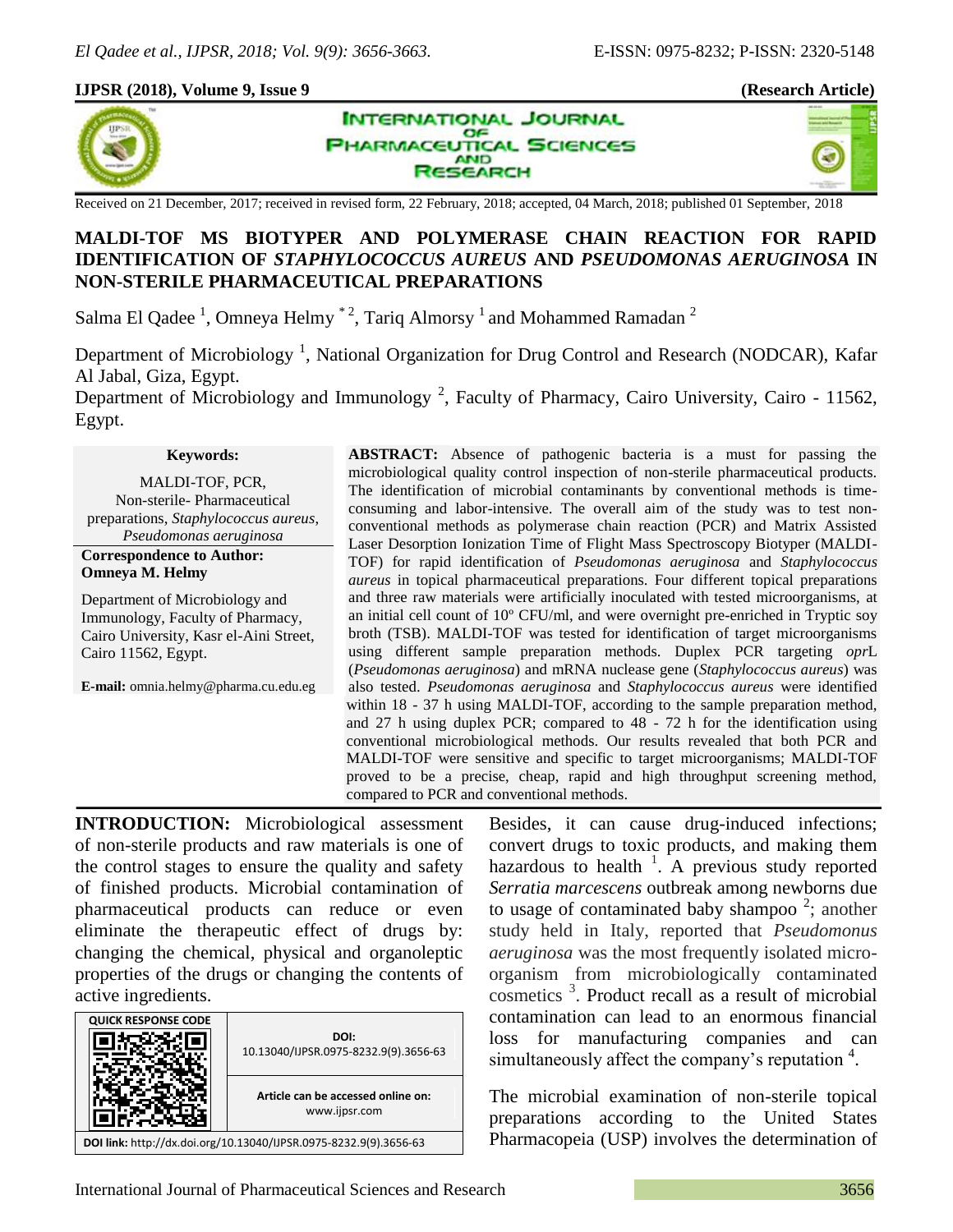#### **IJPSR (2018), Volume 9, Issue 9 (Research Article)**







Received on 21 December, 2017; received in revised form, 22 February, 2018; accepted, 04 March, 2018; published 01 September, 2018

# **MALDI-TOF MS BIOTYPER AND POLYMERASE CHAIN REACTION FOR RAPID IDENTIFICATION OF** *STAPHYLOCOCCUS AUREUS* **AND** *PSEUDOMONAS AERUGINOSA* **IN NON-STERILE PHARMACEUTICAL PREPARATIONS**

Salma El Qadee<sup>1</sup>, Omneya Helmy<sup>\*2</sup>, Tariq Almorsy<sup>1</sup> and Mohammed Ramadan<sup>2</sup>

Department of Microbiology<sup>1</sup>, National Organization for Drug Control and Research (NODCAR), Kafar Al Jabal, Giza, Egypt.

Department of Microbiology and Immunology<sup>2</sup>, Faculty of Pharmacy, Cairo University, Cairo - 11562, Egypt.

#### **Keywords:**

MALDI-TOF, PCR, Non-sterile- Pharmaceutical preparations, *Staphylococcus aureus*, *Pseudomonas aeruginosa*

#### **Correspondence to Author: Omneya M. Helmy**

Department of Microbiology and Immunology, Faculty of Pharmacy, Cairo University, Kasr el-Aini Street, Cairo 11562, Egypt.

**E-mail:** omnia.helmy@pharma.cu.edu.eg

**ABSTRACT:** Absence of pathogenic bacteria is a must for passing the microbiological quality control inspection of non-sterile pharmaceutical products. The identification of microbial contaminants by conventional methods is timeconsuming and labor-intensive. The overall aim of the study was to test nonconventional methods as polymerase chain reaction (PCR) and Matrix Assisted Laser Desorption Ionization Time of Flight Mass Spectroscopy Biotyper (MALDI-TOF) for rapid identification of *Pseudomonas aeruginosa* and *Staphylococcus aureus* in topical pharmaceutical preparations. Four different topical preparations and three raw materials were artificially inoculated with tested microorganisms, at an initial cell count of 10º CFU/ml, and were overnight pre-enriched in Tryptic soy broth (TSB). MALDI-TOF was tested for identification of target microorganisms using different sample preparation methods. Duplex PCR targeting *opr*L (*Pseudomonas aeruginosa*) and mRNA nuclease gene (*Staphylococcus aureus*) was also tested. *Pseudomonas aeruginosa* and *Staphylococcus aureus* were identified within 18 - 37 h using MALDI-TOF, according to the sample preparation method, and 27 h using duplex PCR; compared to 48 - 72 h for the identification using conventional microbiological methods. Our results revealed that both PCR and MALDI-TOF were sensitive and specific to target microorganisms; MALDI-TOF proved to be a precise, cheap, rapid and high throughput screening method, compared to PCR and conventional methods.

**INTRODUCTION:** Microbiological assessment of non-sterile products and raw materials is one of the control stages to ensure the quality and safety of finished products. Microbial contamination of pharmaceutical products can reduce or even eliminate the therapeutic effect of drugs by: changing the chemical, physical and organoleptic properties of the drugs or changing the contents of active ingredients.



Besides, it can cause drug-induced infections; convert drugs to toxic products, and making them hazardous to health  $1$ . A previous study reported *Serratia marcescens* outbreak among newborns due to usage of contaminated baby shampoo<sup>2</sup>; another study held in Italy, reported that *Pseudomonus aeruginosa* was the most frequently isolated microorganism from microbiologically contaminated cosmetics <sup>3</sup> . Product recall as a result of microbial contamination can lead to an enormous financial loss for manufacturing companies and can simultaneously affect the company's reputation<sup>4</sup>.

The microbial examination of non-sterile topical preparations according to the United States Pharmacopeia (USP) involves the determination of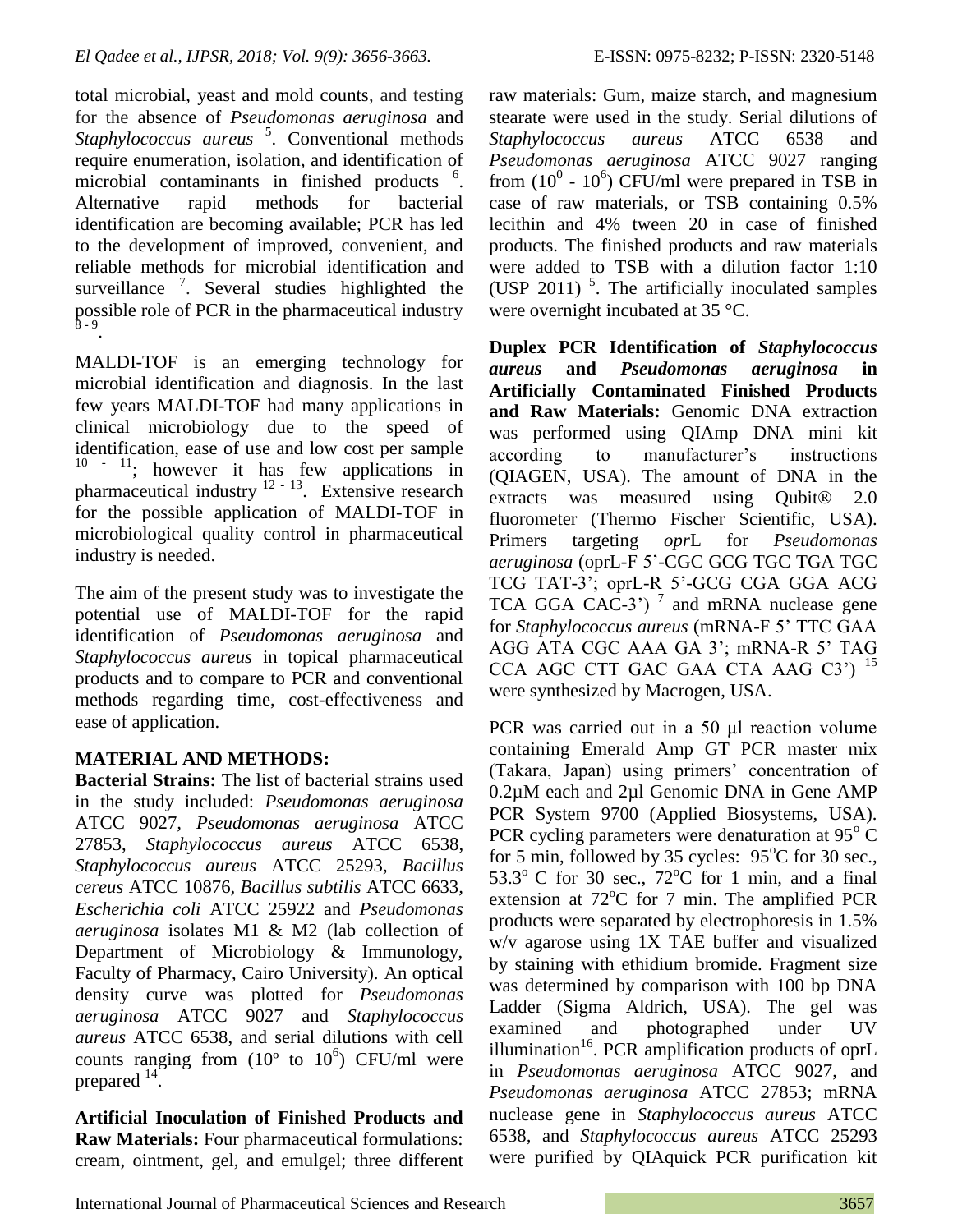total microbial, yeast and mold counts, and testing for the absence of *Pseudomonas aeruginosa* and Staphylococcus aureus <sup>5</sup>. Conventional methods require enumeration, isolation, and identification of microbial contaminants in finished products <sup>6</sup>. Alternative rapid methods for bacterial identification are becoming available; PCR has led to the development of improved, convenient, and reliable methods for microbial identification and surveillance  $\frac{7}{1}$ . Several studies highlighted the possible role of PCR in the pharmaceutical industry  $8 - 9$ .

MALDI-TOF is an emerging technology for microbial identification and diagnosis. In the last few years MALDI-TOF had many applications in clinical microbiology due to the speed of identification, ease of use and low cost per sample  $10 - 11$ ; however it has few applications in pharmaceutical industry  $12 - 13$ . Extensive research for the possible application of MALDI-TOF in microbiological quality control in pharmaceutical industry is needed.

The aim of the present study was to investigate the potential use of MALDI-TOF for the rapid identification of *Pseudomonas aeruginosa* and *Staphylococcus aureus* in topical pharmaceutical products and to compare to PCR and conventional methods regarding time, cost-effectiveness and ease of application.

# **MATERIAL AND METHODS:**

**Bacterial Strains:** The list of bacterial strains used in the study included: *Pseudomonas aeruginosa*  ATCC 9027*, Pseudomonas aeruginosa* ATCC 27853, *Staphylococcus aureus* ATCC 6538*, Staphylococcus aureus* ATCC 25293*, Bacillus cereus* ATCC 10876*, Bacillus subtilis* ATCC 6633*, Escherichia coli* ATCC 25922 and *Pseudomonas aeruginosa* isolates M1 & M2 (lab collection of Department of Microbiology & Immunology, Faculty of Pharmacy, Cairo University). An optical density curve was plotted for *Pseudomonas aeruginosa* ATCC 9027 and *Staphylococcus aureus* ATCC 6538, and serial dilutions with cell counts ranging from  $(10^{\circ}$  to  $10^{\circ})$  CFU/ml were prepared  $14$ .

**Artificial Inoculation of Finished Products and Raw Materials:** Four pharmaceutical formulations: cream, ointment, gel, and emulgel; three different raw materials: Gum, maize starch, and magnesium stearate were used in the study. Serial dilutions of *Staphylococcus aureus* ATCC 6538 and *Pseudomonas aeruginosa* ATCC 9027 ranging from  $(10^0 - 10^6)$  CFU/ml were prepared in TSB in case of raw materials, or TSB containing 0.5% lecithin and 4% tween 20 in case of finished products. The finished products and raw materials were added to TSB with a dilution factor 1:10 (USP 2011)  $<sup>5</sup>$ . The artificially inoculated samples</sup> were overnight incubated at 35 °C.

**Duplex PCR Identification of** *Staphylococcus aureus* **and** *Pseudomonas aeruginosa* **in Artificially Contaminated Finished Products and Raw Materials:** Genomic DNA extraction was performed using QIAmp DNA mini kit according to manufacturer's instructions (QIAGEN, USA). The amount of DNA in the extracts was measured using Qubit® 2.0 fluorometer (Thermo Fischer Scientific, USA). Primers targeting *opr*L for *Pseudomonas aeruginosa* (oprL-F 5'-CGC GCG TGC TGA TGC TCG TAT-3'; oprL-R 5'-GCG CGA GGA ACG TCA GGA CAC-3')<sup>7</sup> and mRNA nuclease gene for *Staphylococcus aureus* (mRNA-F 5' TTC GAA AGG ATA CGC AAA GA 3'; mRNA-R 5' TAG CCA AGC CTT GAC GAA CTA AAG C3') <sup>15</sup> were synthesized by Macrogen, USA.

PCR was carried out in a 50 μl reaction volume containing Emerald Amp GT PCR master mix (Takara, Japan) using primers' concentration of 0.2µM each and 2µl Genomic DNA in Gene AMP PCR System 9700 (Applied Biosystems, USA). PCR cycling parameters were denaturation at  $95^{\circ}$  C for 5 min, followed by 35 cycles:  $95^{\circ}$ C for 30 sec.,  $53.3^{\circ}$  C for 30 sec.,  $72^{\circ}$ C for 1 min, and a final extension at  $72^{\circ}$ C for 7 min. The amplified PCR products were separated by electrophoresis in 1.5% w/v agarose using 1X TAE buffer and visualized by staining with ethidium bromide. Fragment size was determined by comparison with 100 bp DNA Ladder (Sigma Aldrich, USA). The gel was examined and photographed under UV illumination<sup>16</sup>. PCR amplification products of oprL in *Pseudomonas aeruginosa* ATCC 9027, and *Pseudomonas aeruginosa* ATCC 27853; mRNA nuclease gene in *Staphylococcus aureus* ATCC 6538*,* and *Staphylococcus aureus* ATCC 25293 were purified by QIAquick PCR purification kit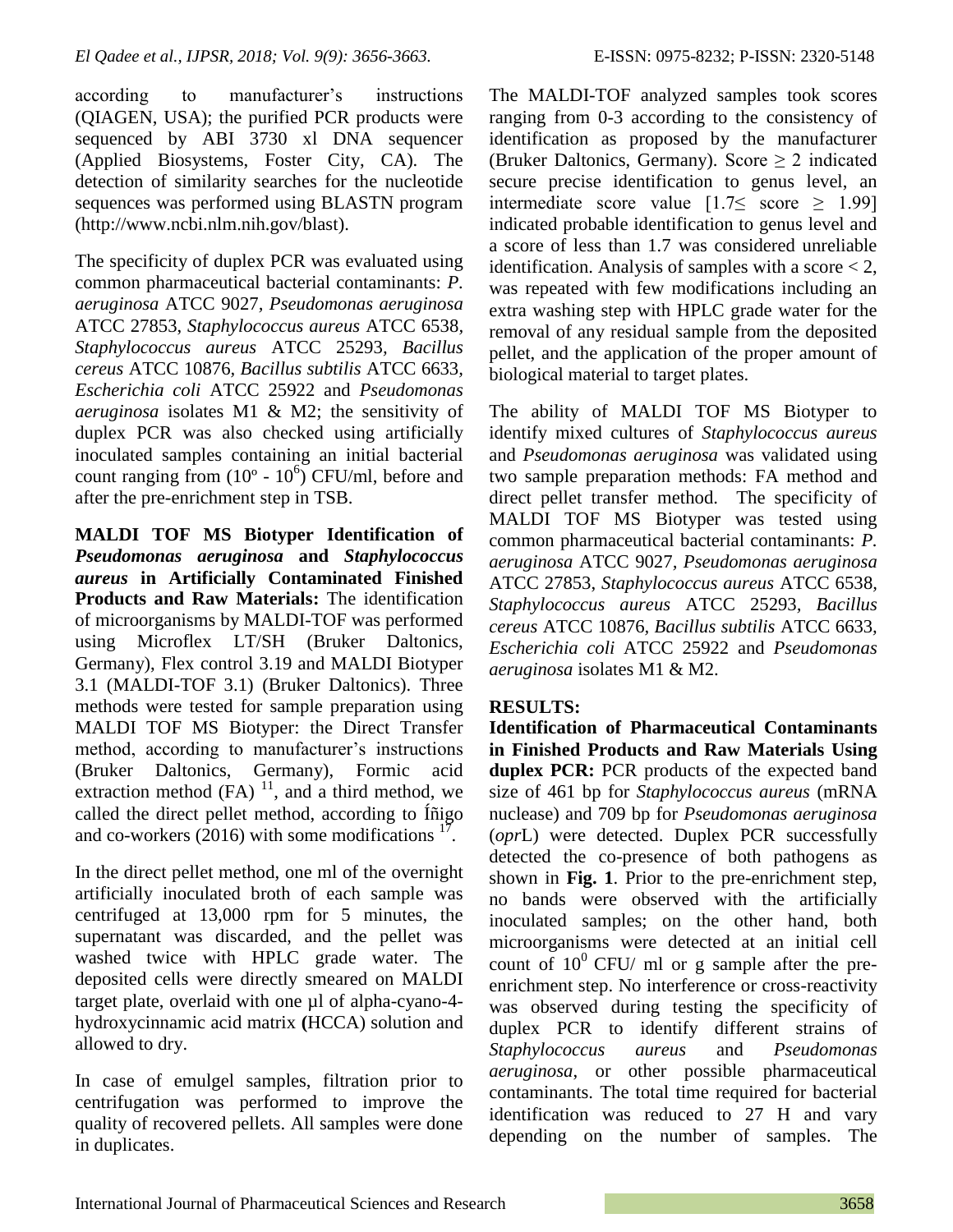according to manufacturer's instructions (QIAGEN, USA); the purified PCR products were sequenced by ABI 3730 xl DNA sequencer (Applied Biosystems, Foster City, CA). The detection of similarity searches for the nucleotide sequences was performed using BLASTN program (http://www.ncbi.nlm.nih.gov/blast).

The specificity of duplex PCR was evaluated using common pharmaceutical bacterial contaminants: *P. aeruginosa* ATCC 9027*, Pseudomonas aeruginosa*  ATCC 27853, *Staphylococcus aureus* ATCC 6538*, Staphylococcus aureus* ATCC 25293*, Bacillus cereus* ATCC 10876*, Bacillus subtilis* ATCC 6633*, Escherichia coli* ATCC 25922 and *Pseudomonas aeruginosa* isolates M1 & M2; the sensitivity of duplex PCR was also checked using artificially inoculated samples containing an initial bacterial count ranging from  $(10^{\circ} - 10^{\circ})$  CFU/ml, before and after the pre-enrichment step in TSB.

**MALDI TOF MS Biotyper Identification of**  *Pseudomonas aeruginosa* **and** *Staphylococcus aureus* **in Artificially Contaminated Finished Products and Raw Materials:** The identification of microorganisms by MALDI-TOF was performed using Microflex LT/SH (Bruker Daltonics, Germany), Flex control 3.19 and MALDI Biotyper 3.1 (MALDI-TOF 3.1) (Bruker Daltonics). Three methods were tested for sample preparation using MALDI TOF MS Biotyper: the Direct Transfer method, according to manufacturer's instructions (Bruker Daltonics, Germany), Formic acid extraction method  $(FA)^{11}$ , and a third method, we called the direct pellet method, according to Íñigo and co-workers (2016) with some modifications  $1^7$ .

In the direct pellet method, one ml of the overnight artificially inoculated broth of each sample was centrifuged at 13,000 rpm for 5 minutes, the supernatant was discarded, and the pellet was washed twice with HPLC grade water. The deposited cells were directly smeared on MALDI target plate, overlaid with one µl of alpha-cyano-4hydroxycinnamic acid matrix **(**HCCA) solution and allowed to dry.

In case of emulgel samples, filtration prior to centrifugation was performed to improve the quality of recovered pellets. All samples were done in duplicates.

The MALDI-TOF analyzed samples took scores ranging from 0-3 according to the consistency of identification as proposed by the manufacturer (Bruker Daltonics, Germany). Score  $\geq 2$  indicated secure precise identification to genus level, an intermediate score value  $[1.7 \leq \text{score} \geq 1.99]$ indicated probable identification to genus level and a score of less than 1.7 was considered unreliable identification. Analysis of samples with a score  $< 2$ , was repeated with few modifications including an extra washing step with HPLC grade water for the removal of any residual sample from the deposited pellet, and the application of the proper amount of biological material to target plates.

The ability of MALDI TOF MS Biotyper to identify mixed cultures of *Staphylococcus aureus* and *Pseudomonas aeruginosa* was validated using two sample preparation methods: FA method and direct pellet transfer method. The specificity of MALDI TOF MS Biotyper was tested using common pharmaceutical bacterial contaminants: *P. aeruginosa* ATCC 9027*, Pseudomonas aeruginosa*  ATCC 27853, *Staphylococcus aureus* ATCC 6538*, Staphylococcus aureus* ATCC 25293*, Bacillus cereus* ATCC 10876*, Bacillus subtilis* ATCC 6633*, Escherichia coli* ATCC 25922 and *Pseudomonas aeruginosa* isolates M1 & M2.

## **RESULTS:**

**Identification of Pharmaceutical Contaminants in Finished Products and Raw Materials Using duplex PCR:** PCR products of the expected band size of 461 bp for *Staphylococcus aureus* (mRNA nuclease) and 709 bp for *Pseudomonas aeruginosa*  (*opr*L) were detected. Duplex PCR successfully detected the co-presence of both pathogens as shown in **Fig. 1**. Prior to the pre-enrichment step, no bands were observed with the artificially inoculated samples; on the other hand, both microorganisms were detected at an initial cell count of  $10^0$  CFU/ ml or g sample after the preenrichment step. No interference or cross-reactivity was observed during testing the specificity of duplex PCR to identify different strains of *Staphylococcus aureus* and *Pseudomonas aeruginosa*, or other possible pharmaceutical contaminants. The total time required for bacterial identification was reduced to 27 H and vary depending on the number of samples. The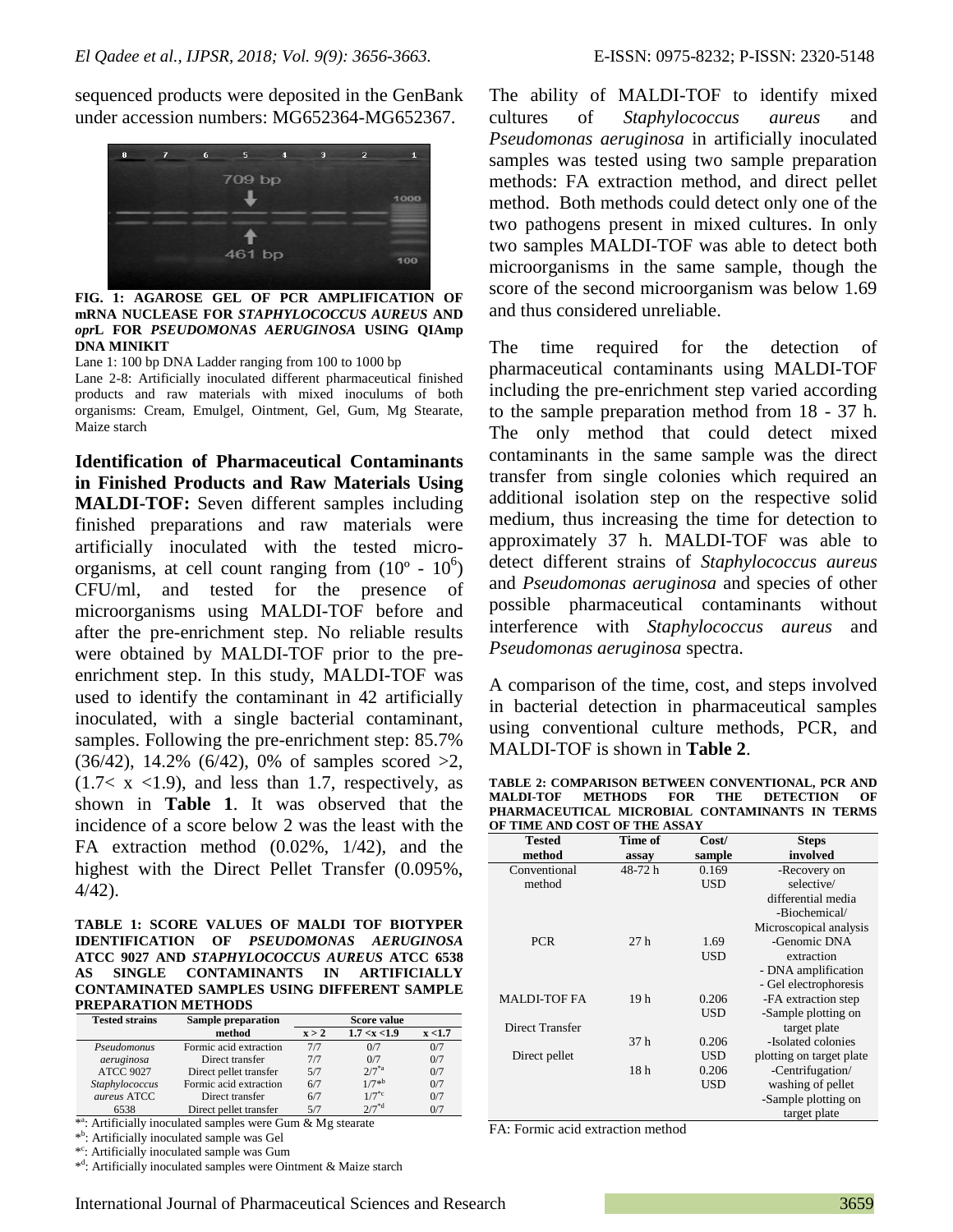sequenced products were deposited in the GenBank under accession numbers: MG652364-MG652367.



**FIG. 1: AGAROSE GEL OF PCR AMPLIFICATION OF mRNA NUCLEASE FOR** *STAPHYLOCOCCUS AUREUS* **AND**  *opr***L FOR** *PSEUDOMONAS AERUGINOSA* **USING QIAmp DNA MINIKIT**

Lane 1: 100 bp DNA Ladder ranging from 100 to 1000 bp

Lane 2-8: Artificially inoculated different pharmaceutical finished products and raw materials with mixed inoculums of both organisms: Cream, Emulgel, Ointment, Gel, Gum, Mg Stearate, Maize starch

**Identification of Pharmaceutical Contaminants in Finished Products and Raw Materials Using MALDI-TOF:** Seven different samples including finished preparations and raw materials were artificially inoculated with the tested microorganisms, at cell count ranging from  $(10^{\circ} - 10^{\circ})$ CFU/ml, and tested for the presence of microorganisms using MALDI-TOF before and after the pre-enrichment step. No reliable results were obtained by MALDI-TOF prior to the preenrichment step. In this study, MALDI-TOF was used to identify the contaminant in 42 artificially inoculated, with a single bacterial contaminant, samples. Following the pre-enrichment step: 85.7%  $(36/42)$ , 14.2%  $(6/42)$ , 0% of samples scored  $>2$ ,  $(1.7 < x < 1.9)$ , and less than 1.7, respectively, as shown in **Table 1**. It was observed that the incidence of a score below 2 was the least with the FA extraction method (0.02%, 1/42), and the highest with the Direct Pellet Transfer (0.095%, 4/42).

#### **TABLE 1: SCORE VALUES OF MALDI TOF BIOTYPER IDENTIFICATION OF** *PSEUDOMONAS AERUGINOSA* **ATCC 9027 AND** *STAPHYLOCOCCUS AUREUS* **ATCC 6538 AS SINGLE CONTAMINANTS IN ARTIFICIALLY CONTAMINATED SAMPLES USING DIFFERENT SAMPLE PREPARATION METHODS**

| <b>Tested strains</b> | <b>Sample preparation</b> | Score value |                 |         |
|-----------------------|---------------------------|-------------|-----------------|---------|
|                       | method                    | x > 2       | 1.7 < x < 1.9   | x < 1.7 |
| Pseudomonus           | Formic acid extraction    | 7/7         | 0/7             | 0/7     |
| aeruginosa            | Direct transfer           | 7/7         | 0/7             | 0/7     |
| <b>ATCC 9027</b>      | Direct pellet transfer    | 5/7         | $2/7^{*}a$      | 0/7     |
| Staphylococcus        | Formic acid extraction    | 6/7         | $1/7*^{b}$      | 0/7     |
| aureus ATCC           | Direct transfer           | 6/7         | $1/7^{\circ}$ c | 0/7     |
| 6538                  | Direct pellet transfer    | 5/7         | $2/7^{*d}$      | 0/7     |

\*<sup>a</sup>: Artificially inoculated samples were Gum & Mg stearate

\* b : Artificially inoculated sample was Gel

\* c : Artificially inoculated sample was Gum

\*<sup>d</sup>: Artificially inoculated samples were Ointment & Maize starch

The ability of MALDI-TOF to identify mixed cultures of *Staphylococcus aureus* and *Pseudomonas aeruginosa* in artificially inoculated samples was tested using two sample preparation methods: FA extraction method, and direct pellet method. Both methods could detect only one of the two pathogens present in mixed cultures. In only two samples MALDI-TOF was able to detect both microorganisms in the same sample, though the score of the second microorganism was below 1.69 and thus considered unreliable.

The time required for the detection of pharmaceutical contaminants using MALDI-TOF including the pre-enrichment step varied according to the sample preparation method from 18 - 37 h. The only method that could detect mixed contaminants in the same sample was the direct transfer from single colonies which required an additional isolation step on the respective solid medium, thus increasing the time for detection to approximately 37 h. MALDI-TOF was able to detect different strains of *Staphylococcus aureus*  and *Pseudomonas aeruginosa* and species of other possible pharmaceutical contaminants without interference with *Staphylococcus aureus* and *Pseudomonas aeruginosa* spectra.

A comparison of the time, cost, and steps involved in bacterial detection in pharmaceutical samples using conventional culture methods, PCR, and MALDI-TOF is shown in **Table 2**.

| TABLE 2: COMPARISON BETWEEN CONVENTIONAL, PCR AND |  |  |  |  |
|---------------------------------------------------|--|--|--|--|
| MALDI-TOF METHODS FOR THE DETECTION OF            |  |  |  |  |
| PHARMACEUTICAL MICROBIAL CONTAMINANTS IN TERMS    |  |  |  |  |
| OF TIME AND COST OF THE ASSAY                     |  |  |  |  |

| <b>Tested</b>       | Time of         | Cost/      | <b>Steps</b>             |
|---------------------|-----------------|------------|--------------------------|
| method              | assay           | sample     | involved                 |
| Conventional        | 48-72 h         | 0.169      | -Recovery on             |
| method              |                 | <b>USD</b> | selective/               |
|                     |                 |            | differential media       |
|                     |                 |            | -Biochemical/            |
|                     |                 |            | Microscopical analysis   |
| <b>PCR</b>          | 27h             | 1.69       | -Genomic DNA             |
|                     |                 | <b>USD</b> | extraction               |
|                     |                 |            | - DNA amplification      |
|                     |                 |            | - Gel electrophoresis    |
| <b>MALDI-TOF FA</b> | 19 <sub>h</sub> | 0.206      | -FA extraction step      |
|                     |                 | <b>USD</b> | -Sample plotting on      |
| Direct Transfer     |                 |            | target plate             |
|                     | 37 <sub>h</sub> | 0.206      | -Isolated colonies       |
| Direct pellet       |                 | <b>USD</b> | plotting on target plate |
|                     | 18 <sub>h</sub> | 0.206      | -Centrifugation/         |
|                     |                 | <b>USD</b> | washing of pellet        |
|                     |                 |            | -Sample plotting on      |
|                     |                 |            | target plate             |

FA: Formic acid extraction method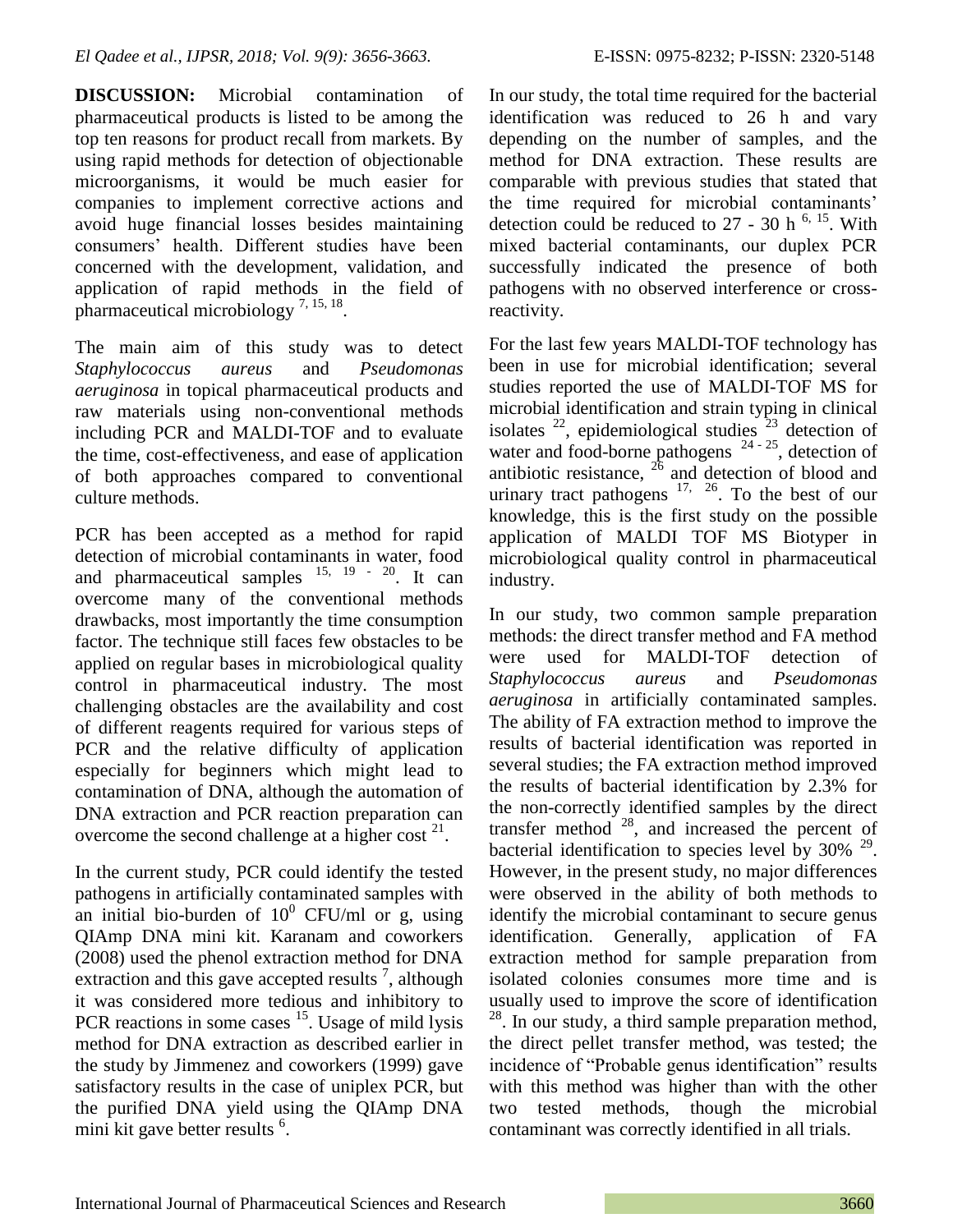**DISCUSSION:** Microbial contamination of pharmaceutical products is listed to be among the top ten reasons for product recall from markets. By using rapid methods for detection of objectionable microorganisms, it would be much easier for companies to implement corrective actions and avoid huge financial losses besides maintaining consumers' health. Different studies have been concerned with the development, validation, and application of rapid methods in the field of pharmaceutical microbiology<sup>7, 15, 18</sup>.

The main aim of this study was to detect *Staphylococcus aureus* and *Pseudomonas aeruginosa* in topical pharmaceutical products and raw materials using non-conventional methods including PCR and MALDI-TOF and to evaluate the time, cost-effectiveness, and ease of application of both approaches compared to conventional culture methods.

PCR has been accepted as a method for rapid detection of microbial contaminants in water, food and pharmaceutical samples  $15, 19 - 20$ . It can overcome many of the conventional methods drawbacks, most importantly the time consumption factor. The technique still faces few obstacles to be applied on regular bases in microbiological quality control in pharmaceutical industry. The most challenging obstacles are the availability and cost of different reagents required for various steps of PCR and the relative difficulty of application especially for beginners which might lead to contamination of DNA, although the automation of DNA extraction and PCR reaction preparation can overcome the second challenge at a higher cost  $2^1$ .

In the current study, PCR could identify the tested pathogens in artificially contaminated samples with an initial bio-burden of  $10^0$  CFU/ml or g, using QIAmp DNA mini kit. Karanam and coworkers (2008) used the phenol extraction method for DNA extraction and this gave accepted results<sup>7</sup>, although it was considered more tedious and inhibitory to PCR reactions in some cases  $15$ . Usage of mild lysis method for DNA extraction as described earlier in the study by Jimmenez and coworkers (1999) gave satisfactory results in the case of uniplex PCR, but the purified DNA yield using the QIAmp DNA mini kit gave better results <sup>6</sup>.

In our study, the total time required for the bacterial identification was reduced to 26 h and vary depending on the number of samples, and the method for DNA extraction. These results are comparable with previous studies that stated that the time required for microbial contaminants' detection could be reduced to  $27 - 30$  h <sup>6, 15</sup>. With mixed bacterial contaminants, our duplex PCR successfully indicated the presence of both pathogens with no observed interference or crossreactivity.

For the last few years MALDI-TOF technology has been in use for microbial identification; several studies reported the use of MALDI-TOF MS for microbial identification and strain typing in clinical isolates  $^{22}$ , epidemiological studies  $^{23}$  detection of water and food-borne pathogens  $24 - 25$ , detection of antibiotic resistance,  $^{26}$  and detection of blood and urinary tract pathogens  $17, 26$ . To the best of our knowledge, this is the first study on the possible application of MALDI TOF MS Biotyper in microbiological quality control in pharmaceutical industry.

In our study, two common sample preparation methods: the direct transfer method and FA method were used for MALDI-TOF detection of *Staphylococcus aureus* and *Pseudomonas aeruginosa* in artificially contaminated samples. The ability of FA extraction method to improve the results of bacterial identification was reported in several studies; the FA extraction method improved the results of bacterial identification by 2.3% for the non-correctly identified samples by the direct transfer method  $28$ , and increased the percent of bacterial identification to species level by  $30\%$  <sup>29</sup>. However, in the present study, no major differences were observed in the ability of both methods to identify the microbial contaminant to secure genus identification. Generally, application of FA extraction method for sample preparation from isolated colonies consumes more time and is usually used to improve the score of identification <sup>28</sup>. In our study, a third sample preparation method, the direct pellet transfer method, was tested; the incidence of "Probable genus identification" results with this method was higher than with the other two tested methods, though the microbial contaminant was correctly identified in all trials.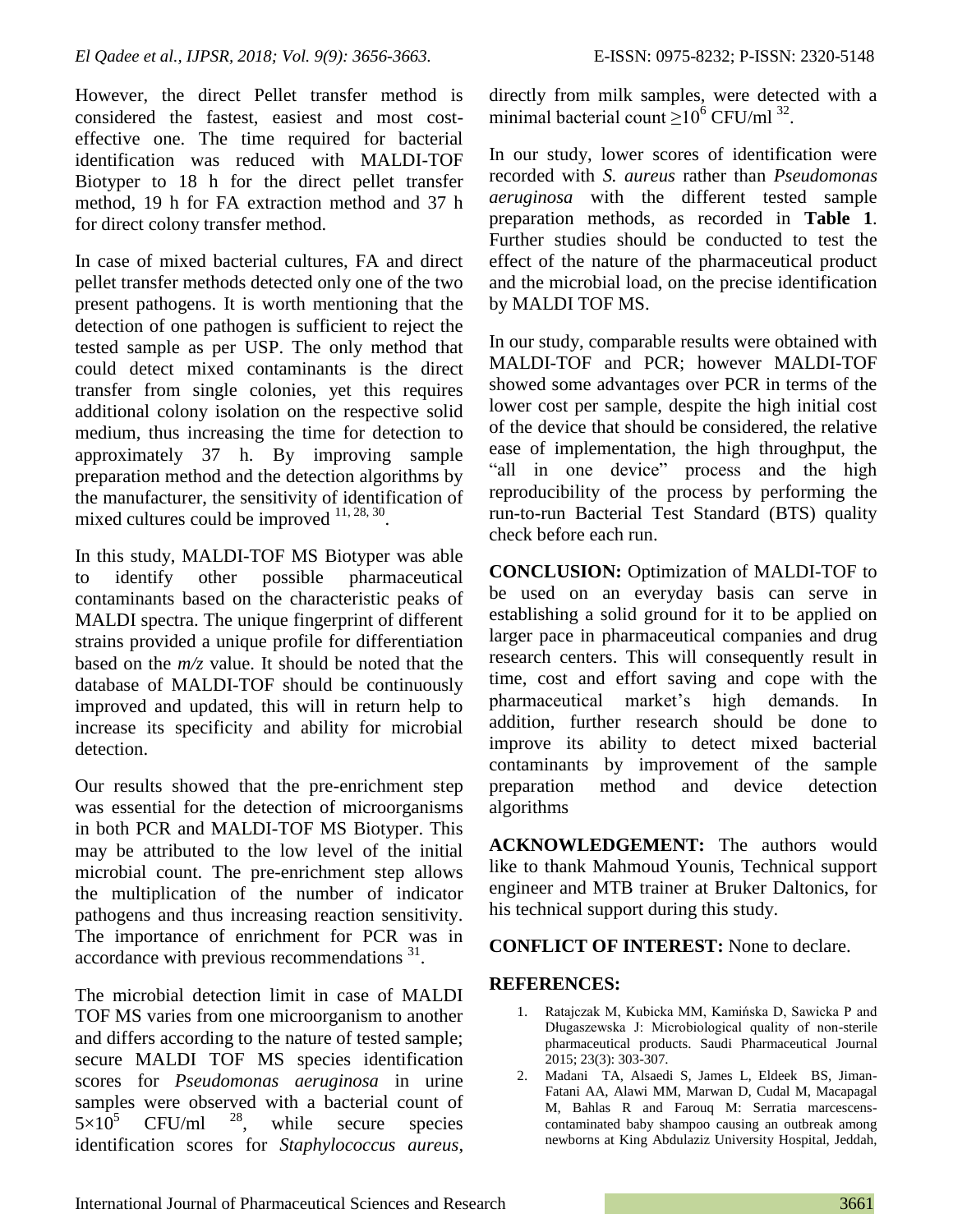However, the direct Pellet transfer method is considered the fastest, easiest and most costeffective one. The time required for bacterial identification was reduced with MALDI-TOF Biotyper to 18 h for the direct pellet transfer method, 19 h for FA extraction method and 37 h for direct colony transfer method.

In case of mixed bacterial cultures, FA and direct pellet transfer methods detected only one of the two present pathogens. It is worth mentioning that the detection of one pathogen is sufficient to reject the tested sample as per USP. The only method that could detect mixed contaminants is the direct transfer from single colonies, yet this requires additional colony isolation on the respective solid medium, thus increasing the time for detection to approximately 37 h. By improving sample preparation method and the detection algorithms by the manufacturer, the sensitivity of identification of mixed cultures could be improved  $11, 28, 30$ .

In this study, MALDI-TOF MS Biotyper was able to identify other possible pharmaceutical contaminants based on the characteristic peaks of MALDI spectra. The unique fingerprint of different strains provided a unique profile for differentiation based on the *m/z* value. It should be noted that the database of MALDI-TOF should be continuously improved and updated, this will in return help to increase its specificity and ability for microbial detection.

Our results showed that the pre-enrichment step was essential for the detection of microorganisms in both PCR and MALDI-TOF MS Biotyper. This may be attributed to the low level of the initial microbial count. The pre-enrichment step allows the multiplication of the number of indicator pathogens and thus increasing reaction sensitivity. The importance of enrichment for PCR was in  $\arccor$  dark accordance with previous recommendations  $^{31}$ .

The microbial detection limit in case of MALDI TOF MS varies from one microorganism to another and differs according to the nature of tested sample; secure MALDI TOF MS species identification scores for *Pseudomonas aeruginosa* in urine samples were observed with a bacterial count of  $5 \times 10^5$  CFU/ml  $^{28}$ , while secure species  $5\times10^5$  CFU/ml <sup>28</sup>, while secure species identification scores for *Staphylococcus aureus*, directly from milk samples, were detected with a minimal bacterial count  $\geq 10^6$  CFU/ml<sup>32</sup>.

In our study, lower scores of identification were recorded with *S. aureus* rather than *Pseudomonas aeruginosa* with the different tested sample preparation methods, as recorded in **Table 1**. Further studies should be conducted to test the effect of the nature of the pharmaceutical product and the microbial load, on the precise identification by MALDI TOF MS.

In our study, comparable results were obtained with MALDI-TOF and PCR; however MALDI-TOF showed some advantages over PCR in terms of the lower cost per sample, despite the high initial cost of the device that should be considered, the relative ease of implementation, the high throughput, the "all in one device" process and the high reproducibility of the process by performing the run-to-run Bacterial Test Standard (BTS) quality check before each run.

**CONCLUSION:** Optimization of MALDI-TOF to be used on an everyday basis can serve in establishing a solid ground for it to be applied on larger pace in pharmaceutical companies and drug research centers. This will consequently result in time, cost and effort saving and cope with the pharmaceutical market's high demands. In addition, further research should be done to improve its ability to detect mixed bacterial contaminants by improvement of the sample preparation method and device detection algorithms

**ACKNOWLEDGEMENT:** The authors would like to thank Mahmoud Younis, Technical support engineer and MTB trainer at Bruker Daltonics, for his technical support during this study.

## **CONFLICT OF INTEREST:** None to declare.

## **REFERENCES:**

- 1. Ratajczak M, Kubicka MM, Kamińska D, Sawicka P and Długaszewska J: Microbiological quality of non-sterile pharmaceutical products. Saudi Pharmaceutical Journal 2015; 23(3): 303-307.
- 2. Madani TA, Alsaedi S, James L, Eldeek BS, Jiman-Fatani AA, Alawi MM, Marwan D, Cudal M, Macapagal M, Bahlas R and Farouq M: Serratia marcescenscontaminated baby shampoo causing an outbreak among newborns at King Abdulaziz University Hospital, Jeddah,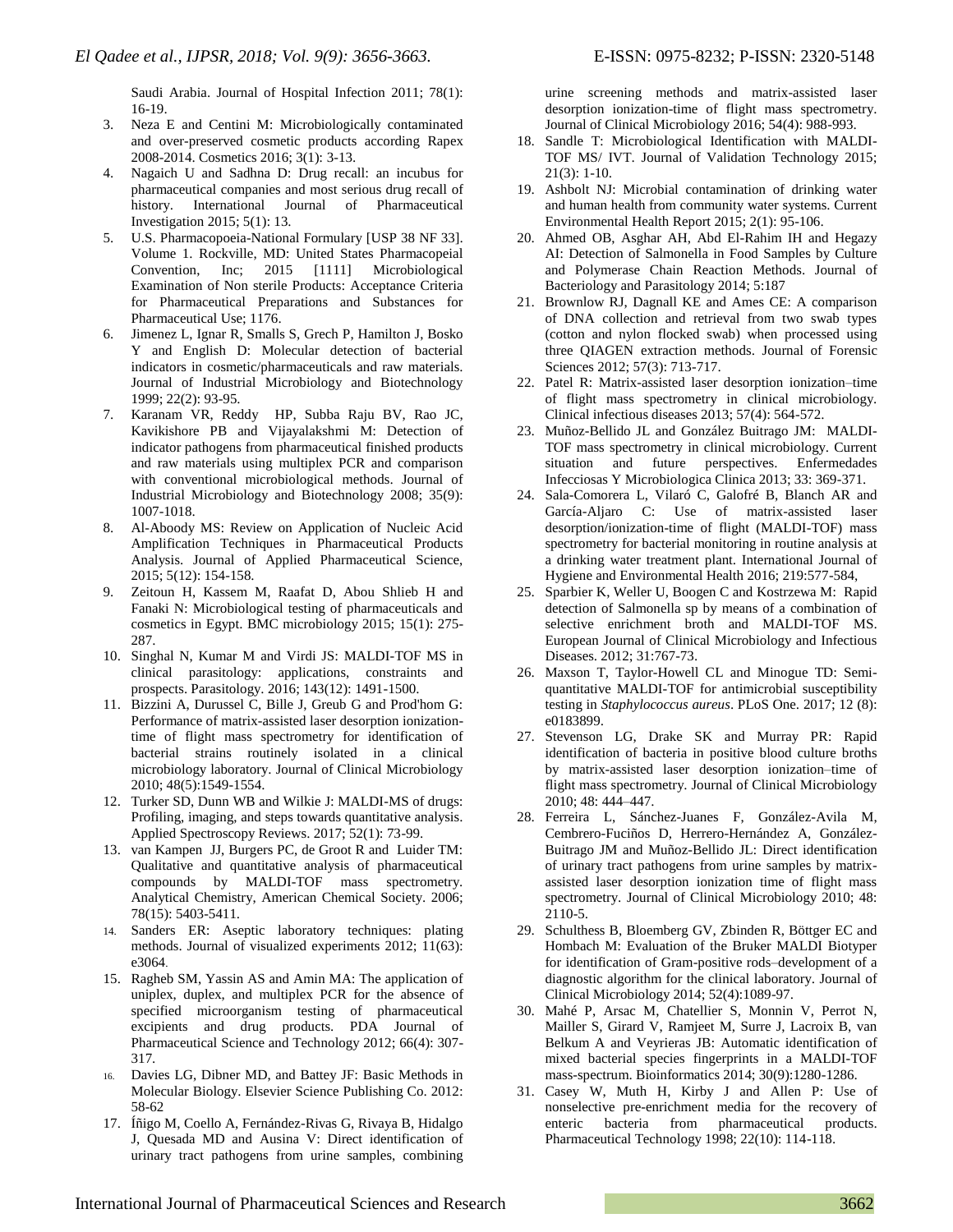Saudi Arabia. Journal of Hospital Infection 2011; 78(1): 16-19.

- 3. Neza E and Centini M: Microbiologically contaminated and over-preserved cosmetic products according Rapex 2008-2014. Cosmetics 2016; 3(1): 3-13.
- 4. Nagaich U and Sadhna D: Drug recall: an incubus for pharmaceutical companies and most serious drug recall of history. International Journal of Pharmaceutical Investigation 2015; 5(1): 13.
- 5. U.S. Pharmacopoeia-National Formulary [USP 38 NF 33]. Volume 1. Rockville, MD: United States Pharmacopeial Convention, Inc; 2015 [1111] Microbiological Examination of Non sterile Products: Acceptance Criteria for Pharmaceutical Preparations and Substances for Pharmaceutical Use; 1176.
- 6. Jimenez L, Ignar R, Smalls S, Grech P, Hamilton J, Bosko Y and English D: Molecular detection of bacterial indicators in cosmetic/pharmaceuticals and raw materials. Journal of Industrial Microbiology and Biotechnology 1999; 22(2): 93-95.
- 7. Karanam VR, Reddy HP, Subba Raju BV, Rao JC, Kavikishore PB and Vijayalakshmi M: Detection of indicator pathogens from pharmaceutical finished products and raw materials using multiplex PCR and comparison with conventional microbiological methods. Journal of Industrial Microbiology and Biotechnology 2008; 35(9): 1007-1018.
- 8. Al-Aboody MS: Review on Application of Nucleic Acid Amplification Techniques in Pharmaceutical Products Analysis. Journal of Applied Pharmaceutical Science, 2015; 5(12): 154-158.
- 9. Zeitoun H, Kassem M, Raafat D, Abou Shlieb H and Fanaki N: Microbiological testing of pharmaceuticals and cosmetics in Egypt. BMC microbiology 2015; 15(1): 275- 287.
- 10. Singhal N, Kumar M and Virdi JS: MALDI-TOF MS in clinical parasitology: applications, constraints and prospects. Parasitology. 2016; 143(12): 1491-1500.
- 11. Bizzini A, Durussel C, Bille J, Greub G and Prod'hom G: Performance of matrix-assisted laser desorption ionizationtime of flight mass spectrometry for identification of bacterial strains routinely isolated in a clinical microbiology laboratory. Journal of Clinical Microbiology 2010; 48(5):1549-1554.
- 12. Turker SD, Dunn WB and Wilkie J: MALDI-MS of drugs: Profiling, imaging, and steps towards quantitative analysis. Applied Spectroscopy Reviews. 2017; 52(1): 73-99.
- 13. van Kampen JJ, Burgers PC, de Groot R and Luider TM: Qualitative and quantitative analysis of pharmaceutical compounds by MALDI-TOF mass spectrometry. Analytical Chemistry, American Chemical Society. 2006; 78(15): 5403-5411.
- 14. Sanders ER: Aseptic laboratory techniques: plating methods. Journal of visualized experiments 2012; 11(63): e3064.
- 15. Ragheb SM, Yassin AS and Amin MA: The application of uniplex, duplex, and multiplex PCR for the absence of specified microorganism testing of pharmaceutical excipients and drug products. PDA Journal of Pharmaceutical Science and Technology 2012; 66(4): 307- 317.
- 16. Davies LG, Dibner MD, and Battey JF: Basic Methods in Molecular Biology. Elsevier Science Publishing Co. 2012: 58-62
- 17. Íñigo M, Coello A, Fernández-Rivas G, Rivaya B, Hidalgo J, Quesada MD and Ausina V: Direct identification of urinary tract pathogens from urine samples, combining

urine screening methods and matrix-assisted laser desorption ionization-time of flight mass spectrometry. Journal of Clinical Microbiology 2016; 54(4): 988-993.

- 18. Sandle T: Microbiological Identification with MALDI-TOF MS/ IVT. Journal of Validation Technology 2015; 21(3): 1-10.
- 19. Ashbolt NJ: Microbial contamination of drinking water and human health from community water systems. Current Environmental Health Report 2015; 2(1): 95-106.
- 20. Ahmed OB, Asghar AH, Abd El-Rahim IH and Hegazy AI: Detection of Salmonella in Food Samples by Culture and Polymerase Chain Reaction Methods. Journal of Bacteriology and Parasitology 2014; 5:187
- 21. Brownlow RJ, Dagnall KE and Ames CE: A comparison of DNA collection and retrieval from two swab types (cotton and nylon flocked swab) when processed using three QIAGEN extraction methods. Journal of Forensic Sciences 2012; 57(3): 713-717.
- 22. Patel R: Matrix-assisted laser desorption ionization–time of flight mass spectrometry in clinical microbiology. Clinical infectious diseases 2013; 57(4): 564-572.
- 23. Muñoz-Bellido JL and González Buitrago JM: MALDI-TOF mass spectrometry in clinical microbiology. Current situation and future perspectives. Enfermedades Infecciosas Y Microbiologica Clinica 2013; 33: 369-371.
- 24. Sala-Comorera L, Vilaró C, Galofré B, Blanch AR and García-Aljaro C: Use of matrix-assisted laser desorption/ionization-time of flight (MALDI-TOF) mass spectrometry for bacterial monitoring in routine analysis at a drinking water treatment plant. International Journal of Hygiene and Environmental Health 2016; 219:577-584,
- 25. Sparbier K, Weller U, Boogen C and Kostrzewa M: Rapid detection of Salmonella sp by means of a combination of selective enrichment broth and MALDI-TOF MS. European Journal of Clinical Microbiology and Infectious Diseases. 2012; 31:767-73.
- 26. Maxson T, Taylor-Howell CL and Minogue TD: Semiquantitative MALDI-TOF for antimicrobial susceptibility testing in *Staphylococcus aureus*. PLoS One. 2017; 12 (8): e0183899.
- 27. Stevenson LG, Drake SK and Murray PR: Rapid identification of bacteria in positive blood culture broths by matrix-assisted laser desorption ionization–time of flight mass spectrometry. Journal of Clinical Microbiology 2010; 48: 444–447.
- 28. Ferreira L, Sánchez-Juanes F, González-Avila M, Cembrero-Fuciños D, Herrero-Hernández A, González-Buitrago JM and Muñoz-Bellido JL: Direct identification of urinary tract pathogens from urine samples by matrixassisted laser desorption ionization time of flight mass spectrometry. Journal of Clinical Microbiology 2010; 48: 2110-5.
- 29. Schulthess B, Bloemberg GV, Zbinden R, Böttger EC and Hombach M: Evaluation of the Bruker MALDI Biotyper for identification of Gram-positive rods–development of a diagnostic algorithm for the clinical laboratory. Journal of Clinical Microbiology 2014; 52(4):1089-97.
- 30. Mahé P, Arsac M, Chatellier S, Monnin V, Perrot N, Mailler S, Girard V, Ramjeet M, Surre J, Lacroix B, van Belkum A and Veyrieras JB: Automatic identification of mixed bacterial species fingerprints in a MALDI-TOF mass-spectrum. Bioinformatics 2014; 30(9):1280-1286.
- 31. Casey W, Muth H, Kirby J and Allen P: Use of nonselective pre-enrichment media for the recovery of enteric bacteria from pharmaceutical products. Pharmaceutical Technology 1998; 22(10): 114-118.